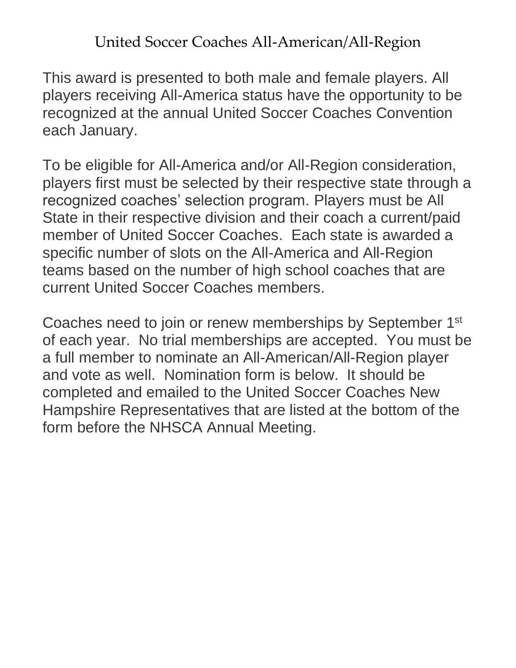United Soccer Coaches All-American/All-Region

This award is presented to both male and female players. All players receiving All-America status have the opportunity to be recognized at the annual United Soccer Coaches Convention each January.

To be eligible for All-America and/or All-Region consideration, players first must be selected by their respective state through a recognized coaches' selection program. Players must be All State in their respective division and their coach a current/paid member of United Soccer Coaches. Each state is awarded a specific number of slots on the All-America and All-Region teams based on the number of high school coaches that are current United Soccer Coaches members.

Coaches need to join or renew memberships by September 1st of each year. No trial memberships are accepted. You must be a full member to nominate an All-American/All-Region player and vote as well. Nomination form is below. It should be completed and emailed to the United Soccer Coaches New Hampshire Representatives that are listed at the bottom of the form before the NHSCA Annual Meeting.